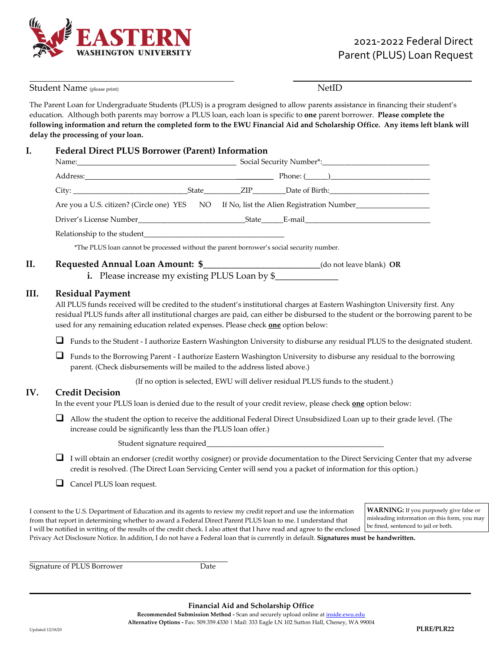

| Student Name (please print) |                                                                                                                                         |                                                                                                                                                                                                                                                                                                                                                                                                                                                                                                        |  | <b>NetID</b> |  |                                                                                                                                        |  |
|-----------------------------|-----------------------------------------------------------------------------------------------------------------------------------------|--------------------------------------------------------------------------------------------------------------------------------------------------------------------------------------------------------------------------------------------------------------------------------------------------------------------------------------------------------------------------------------------------------------------------------------------------------------------------------------------------------|--|--------------|--|----------------------------------------------------------------------------------------------------------------------------------------|--|
|                             |                                                                                                                                         | The Parent Loan for Undergraduate Students (PLUS) is a program designed to allow parents assistance in financing their student's<br>education. Although both parents may borrow a PLUS loan, each loan is specific to one parent borrower. Please complete the<br>following information and return the completed form to the EWU Financial Aid and Scholarship Office. Any items left blank will<br>delay the processing of your loan.                                                                 |  |              |  |                                                                                                                                        |  |
| I.                          |                                                                                                                                         | <b>Federal Direct PLUS Borrower (Parent) Information</b>                                                                                                                                                                                                                                                                                                                                                                                                                                               |  |              |  |                                                                                                                                        |  |
|                             |                                                                                                                                         |                                                                                                                                                                                                                                                                                                                                                                                                                                                                                                        |  |              |  |                                                                                                                                        |  |
|                             |                                                                                                                                         |                                                                                                                                                                                                                                                                                                                                                                                                                                                                                                        |  |              |  |                                                                                                                                        |  |
|                             |                                                                                                                                         | Are you a U.S. citizen? (Circle one) YES NO If No, list the Alien Registration Number______________                                                                                                                                                                                                                                                                                                                                                                                                    |  |              |  |                                                                                                                                        |  |
|                             |                                                                                                                                         |                                                                                                                                                                                                                                                                                                                                                                                                                                                                                                        |  |              |  |                                                                                                                                        |  |
|                             |                                                                                                                                         |                                                                                                                                                                                                                                                                                                                                                                                                                                                                                                        |  |              |  |                                                                                                                                        |  |
|                             |                                                                                                                                         | *The PLUS loan cannot be processed without the parent borrower's social security number.                                                                                                                                                                                                                                                                                                                                                                                                               |  |              |  |                                                                                                                                        |  |
| II.                         |                                                                                                                                         | Requested Annual Loan Amount: \$______________________________(do not leave blank) OR<br>i. Please increase my existing PLUS Loan by \$                                                                                                                                                                                                                                                                                                                                                                |  |              |  |                                                                                                                                        |  |
| III.                        |                                                                                                                                         | <b>Residual Payment</b><br>All PLUS funds received will be credited to the student's institutional charges at Eastern Washington University first. Any<br>residual PLUS funds after all institutional charges are paid, can either be disbursed to the student or the borrowing parent to be<br>used for any remaining education related expenses. Please check one option below:                                                                                                                      |  |              |  |                                                                                                                                        |  |
|                             | ⊔                                                                                                                                       | Funds to the Student - I authorize Eastern Washington University to disburse any residual PLUS to the designated student.                                                                                                                                                                                                                                                                                                                                                                              |  |              |  |                                                                                                                                        |  |
|                             | ⊔                                                                                                                                       | Funds to the Borrowing Parent - I authorize Eastern Washington University to disburse any residual to the borrowing<br>parent. (Check disbursements will be mailed to the address listed above.)                                                                                                                                                                                                                                                                                                       |  |              |  |                                                                                                                                        |  |
|                             | (If no option is selected, EWU will deliver residual PLUS funds to the student.)                                                        |                                                                                                                                                                                                                                                                                                                                                                                                                                                                                                        |  |              |  |                                                                                                                                        |  |
| IV.                         | <b>Credit Decision</b><br>In the event your PLUS loan is denied due to the result of your credit review, please check one option below: |                                                                                                                                                                                                                                                                                                                                                                                                                                                                                                        |  |              |  |                                                                                                                                        |  |
|                             | ⊔                                                                                                                                       | Allow the student the option to receive the additional Federal Direct Unsubsidized Loan up to their grade level. (The<br>increase could be significantly less than the PLUS loan offer.)                                                                                                                                                                                                                                                                                                               |  |              |  |                                                                                                                                        |  |
|                             |                                                                                                                                         |                                                                                                                                                                                                                                                                                                                                                                                                                                                                                                        |  |              |  |                                                                                                                                        |  |
|                             |                                                                                                                                         | I will obtain an endorser (credit worthy cosigner) or provide documentation to the Direct Servicing Center that my adverse<br>credit is resolved. (The Direct Loan Servicing Center will send you a packet of information for this option.)                                                                                                                                                                                                                                                            |  |              |  |                                                                                                                                        |  |
|                             | $\Box$                                                                                                                                  | Cancel PLUS loan request.                                                                                                                                                                                                                                                                                                                                                                                                                                                                              |  |              |  |                                                                                                                                        |  |
|                             |                                                                                                                                         | I consent to the U.S. Department of Education and its agents to review my credit report and use the information<br>from that report in determining whether to award a Federal Direct Parent PLUS loan to me. I understand that<br>I will be notified in writing of the results of the credit check. I also attest that I have read and agree to the enclosed<br>Privacy Act Disclosure Notice. In addition, I do not have a Federal loan that is currently in default. Signatures must be handwritten. |  |              |  | <b>WARNING:</b> If you purposely give false or<br>misleading information on this form, you may<br>be fined, sentenced to jail or both. |  |

Signature of PLUS Borrower Date